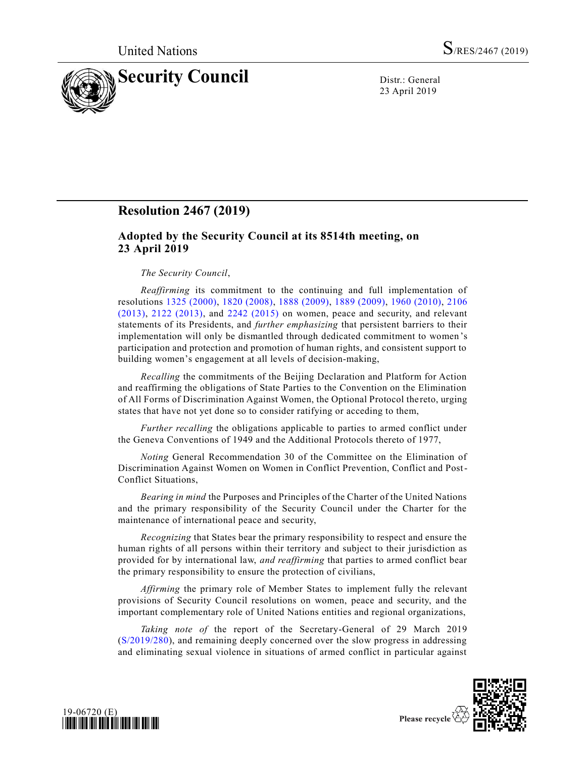

23 April 2019

## **Resolution 2467 (2019)**

## **Adopted by the Security Council at its 8514th meeting, on 23 April 2019**

## *The Security Council*,

*Reaffirming* its commitment to the continuing and full implementation of resolutions [1325 \(2000\),](https://undocs.org/en/S/RES/1325%20(2000)) [1820 \(2008\),](https://undocs.org/en/S/RES/1820%20(2008)) [1888 \(2009\),](https://undocs.org/en/S/RES/1888%20(2009)) [1889 \(2009\),](https://undocs.org/en/S/RES/1889%20(2009)) [1960 \(2010\),](https://undocs.org/en/S/RES/1960%20(2010)) [2106](https://undocs.org/en/S/RES/2106%20(2013))  [\(2013\),](https://undocs.org/en/S/RES/2106%20(2013)) [2122 \(2013\),](https://undocs.org/en/S/RES/2122%20(2013)) and [2242 \(2015\)](https://undocs.org/en/S/RES/2242%20(2015)) on women, peace and security, and relevant statements of its Presidents, and *further emphasizing* that persistent barriers to their implementation will only be dismantled through dedicated commitment to women 's participation and protection and promotion of human rights, and consistent support to building women's engagement at all levels of decision-making,

*Recalling* the commitments of the Beijing Declaration and Platform for Action and reaffirming the obligations of State Parties to the Convention on the Elimination of All Forms of Discrimination Against Women, the Optional Protocol the reto, urging states that have not yet done so to consider ratifying or acceding to them,

*Further recalling* the obligations applicable to parties to armed conflict under the Geneva Conventions of 1949 and the Additional Protocols thereto of 1977,

*Noting* General Recommendation 30 of the Committee on the Elimination of Discrimination Against Women on Women in Conflict Prevention, Conflict and Post-Conflict Situations,

*Bearing in mind* the Purposes and Principles of the Charter of the United Nations and the primary responsibility of the Security Council under the Charter for the maintenance of international peace and security,

*Recognizing* that States bear the primary responsibility to respect and ensure the human rights of all persons within their territory and subject to their jurisdiction as provided for by international law, *and reaffirming* that parties to armed conflict bear the primary responsibility to ensure the protection of civilians,

*Affirming* the primary role of Member States to implement fully the relevant provisions of Security Council resolutions on women, peace and security, and the important complementary role of United Nations entities and regional organizations,

*Taking note of* the report of the Secretary-General of 29 March 2019 [\(S/2019/280\)](https://undocs.org/en/S/2019/280), and remaining deeply concerned over the slow progress in addressing and eliminating sexual violence in situations of armed conflict in particular against



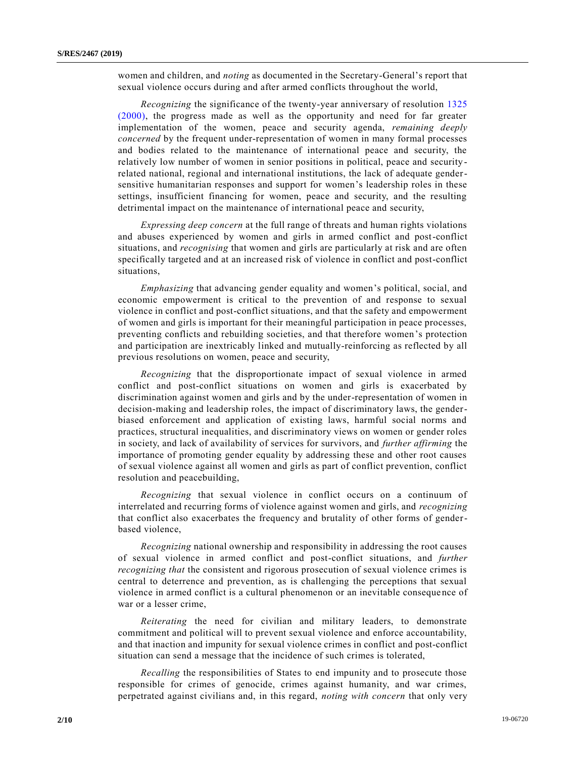women and children, and *noting* as documented in the Secretary-General's report that sexual violence occurs during and after armed conflicts throughout the world,

*Recognizing* the significance of the twenty-year anniversary of resolution [1325](https://undocs.org/en/S/RES/1325%20(2000))  [\(2000\),](https://undocs.org/en/S/RES/1325%20(2000)) the progress made as well as the opportunity and need for far greater implementation of the women, peace and security agenda, *remaining deeply concerned* by the frequent under-representation of women in many formal processes and bodies related to the maintenance of international peace and security, the relatively low number of women in senior positions in political, peace and security related national, regional and international institutions, the lack of adequate gendersensitive humanitarian responses and support for women's leadership roles in these settings, insufficient financing for women, peace and security, and the resulting detrimental impact on the maintenance of international peace and security,

*Expressing deep concern* at the full range of threats and human rights violations and abuses experienced by women and girls in armed conflict and post-conflict situations, and *recognising* that women and girls are particularly at risk and are often specifically targeted and at an increased risk of violence in conflict and post-conflict situations,

*Emphasizing* that advancing gender equality and women's political, social, and economic empowerment is critical to the prevention of and response to sexual violence in conflict and post-conflict situations, and that the safety and empowerment of women and girls is important for their meaningful participation in peace processes, preventing conflicts and rebuilding societies, and that therefore women's protection and participation are inextricably linked and mutually-reinforcing as reflected by all previous resolutions on women, peace and security,

*Recognizing* that the disproportionate impact of sexual violence in armed conflict and post-conflict situations on women and girls is exacerbated by discrimination against women and girls and by the under-representation of women in decision-making and leadership roles, the impact of discriminatory laws, the genderbiased enforcement and application of existing laws, harmful social norms and practices, structural inequalities, and discriminatory views on women or gender roles in society, and lack of availability of services for survivors, and *further affirming* the importance of promoting gender equality by addressing these and other root causes of sexual violence against all women and girls as part of conflict prevention, conflict resolution and peacebuilding,

*Recognizing* that sexual violence in conflict occurs on a continuum of interrelated and recurring forms of violence against women and girls, and *recognizing* that conflict also exacerbates the frequency and brutality of other forms of genderbased violence,

*Recognizing* national ownership and responsibility in addressing the root causes of sexual violence in armed conflict and post-conflict situations, and *further recognizing that* the consistent and rigorous prosecution of sexual violence crimes is central to deterrence and prevention, as is challenging the perceptions that sexual violence in armed conflict is a cultural phenomenon or an inevitable conseque nce of war or a lesser crime,

*Reiterating* the need for civilian and military leaders, to demonstrate commitment and political will to prevent sexual violence and enforce accountability, and that inaction and impunity for sexual violence crimes in conflict and post-conflict situation can send a message that the incidence of such crimes is tolerated,

*Recalling* the responsibilities of States to end impunity and to prosecute those responsible for crimes of genocide, crimes against humanity, and war crimes, perpetrated against civilians and, in this regard, *noting with concern* that only very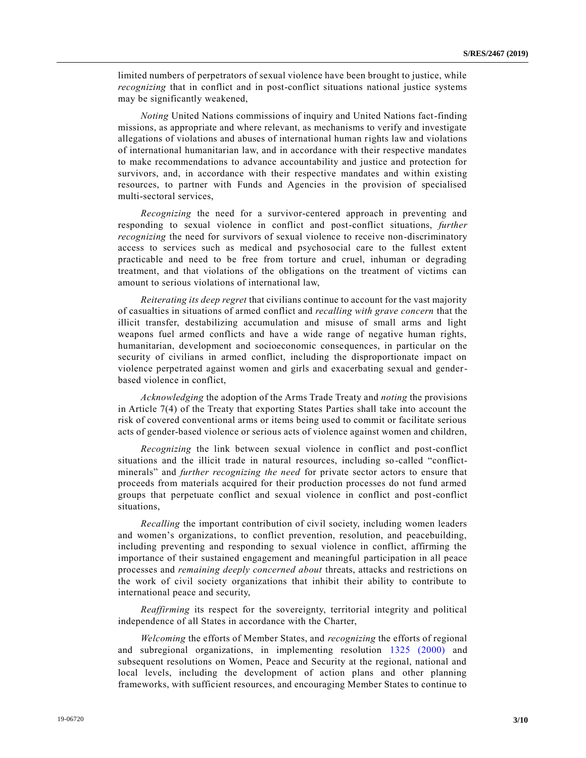limited numbers of perpetrators of sexual violence have been brought to justice, while *recognizing* that in conflict and in post-conflict situations national justice systems may be significantly weakened,

*Noting* United Nations commissions of inquiry and United Nations fact-finding missions, as appropriate and where relevant, as mechanisms to verify and investigate allegations of violations and abuses of international human rights law and violations of international humanitarian law, and in accordance with their respective mandates to make recommendations to advance accountability and justice and protection for survivors, and, in accordance with their respective mandates and within existing resources, to partner with Funds and Agencies in the provision of specialised multi-sectoral services,

*Recognizing* the need for a survivor-centered approach in preventing and responding to sexual violence in conflict and post-conflict situations, *further recognizing* the need for survivors of sexual violence to receive non-discriminatory access to services such as medical and psychosocial care to the fullest extent practicable and need to be free from torture and cruel, inhuman or degrading treatment, and that violations of the obligations on the treatment of victims can amount to serious violations of international law,

*Reiterating its deep regret* that civilians continue to account for the vast majority of casualties in situations of armed conflict and *recalling with grave concern* that the illicit transfer, destabilizing accumulation and misuse of small arms and light weapons fuel armed conflicts and have a wide range of negative human rights, humanitarian, development and socioeconomic consequences, in particular on the security of civilians in armed conflict, including the disproportionate impact on violence perpetrated against women and girls and exacerbating sexual and genderbased violence in conflict,

*Acknowledging* the adoption of the Arms Trade Treaty and *noting* the provisions in Article 7(4) of the Treaty that exporting States Parties shall take into account the risk of covered conventional arms or items being used to commit or facilitate serious acts of gender-based violence or serious acts of violence against women and children,

*Recognizing* the link between sexual violence in conflict and post-conflict situations and the illicit trade in natural resources, including so-called "conflictminerals" and *further recognizing the need* for private sector actors to ensure that proceeds from materials acquired for their production processes do not fund armed groups that perpetuate conflict and sexual violence in conflict and post-conflict situations,

*Recalling* the important contribution of civil society, including women leaders and women's organizations, to conflict prevention, resolution, and peacebuilding, including preventing and responding to sexual violence in conflict, affirming the importance of their sustained engagement and meaningful participation in all peace processes and *remaining deeply concerned about* threats, attacks and restrictions on the work of civil society organizations that inhibit their ability to contribute to international peace and security,

*Reaffirming* its respect for the sovereignty, territorial integrity and political independence of all States in accordance with the Charter,

*Welcoming* the efforts of Member States, and *recognizing* the efforts of regional and subregional organizations, in implementing resolution [1325 \(2000\)](https://undocs.org/en/S/RES/1325%20(2000)) and subsequent resolutions on Women, Peace and Security at the regional, national and local levels, including the development of action plans and other planning frameworks, with sufficient resources, and encouraging Member States to continue to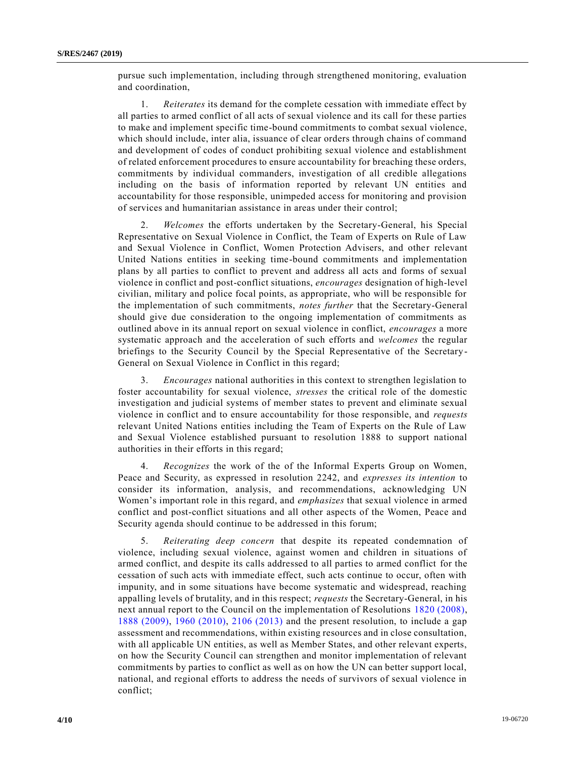pursue such implementation, including through strengthened monitoring, evaluation and coordination,

1. *Reiterates* its demand for the complete cessation with immediate effect by all parties to armed conflict of all acts of sexual violence and its call for these parties to make and implement specific time-bound commitments to combat sexual violence, which should include, inter alia, issuance of clear orders through chains of command and development of codes of conduct prohibiting sexual violence and establishment of related enforcement procedures to ensure accountability for breaching these orders, commitments by individual commanders, investigation of all credible allegations including on the basis of information reported by relevant UN entities and accountability for those responsible, unimpeded access for monitoring and provision of services and humanitarian assistance in areas under their control;

2. *Welcomes* the efforts undertaken by the Secretary-General, his Special Representative on Sexual Violence in Conflict, the Team of Experts on Rule of Law and Sexual Violence in Conflict, Women Protection Advisers, and other relevant United Nations entities in seeking time-bound commitments and implementation plans by all parties to conflict to prevent and address all acts and forms of sexual violence in conflict and post-conflict situations, *encourages* designation of high-level civilian, military and police focal points, as appropriate, who will be responsible for the implementation of such commitments, *notes further* that the Secretary-General should give due consideration to the ongoing implementation of commitments as outlined above in its annual report on sexual violence in conflict, *encourages* a more systematic approach and the acceleration of such efforts and *welcomes* the regular briefings to the Security Council by the Special Representative of the Secretary-General on Sexual Violence in Conflict in this regard;

3. *Encourages* national authorities in this context to strengthen legislation to foster accountability for sexual violence, *stresses* the critical role of the domestic investigation and judicial systems of member states to prevent and eliminate sexual violence in conflict and to ensure accountability for those responsible, and *requests* relevant United Nations entities including the Team of Experts on the Rule of Law and Sexual Violence established pursuant to resolution 1888 to support national authorities in their efforts in this regard;

4. *Recognizes* the work of the of the Informal Experts Group on Women, Peace and Security, as expressed in resolution 2242, and *expresses its intention* to consider its information, analysis, and recommendations, acknowledging UN Women's important role in this regard, and *emphasizes* that sexual violence in armed conflict and post-conflict situations and all other aspects of the Women, Peace and Security agenda should continue to be addressed in this forum;

5. *Reiterating deep concern* that despite its repeated condemnation of violence, including sexual violence, against women and children in situations of armed conflict, and despite its calls addressed to all parties to armed conflict for the cessation of such acts with immediate effect, such acts continue to occur, often with impunity, and in some situations have become systematic and widespread, reaching appalling levels of brutality, and in this respect; *requests* the Secretary-General, in his next annual report to the Council on the implementation of Resolutions [1820 \(2008\),](https://undocs.org/en/S/RES/1820%20(2008)) [1888 \(2009\),](https://undocs.org/en/S/RES/1888%20(2009)) [1960 \(2010\),](https://undocs.org/en/S/RES/1960%20(2010)) [2106 \(2013\)](https://undocs.org/en/S/RES/2106%20(2013)) and the present resolution, to include a gap assessment and recommendations, within existing resources and in close consultation, with all applicable UN entities, as well as Member States, and other relevant experts, on how the Security Council can strengthen and monitor implementation of relevant commitments by parties to conflict as well as on how the UN can better support local, national, and regional efforts to address the needs of survivors of sexual violence in conflict;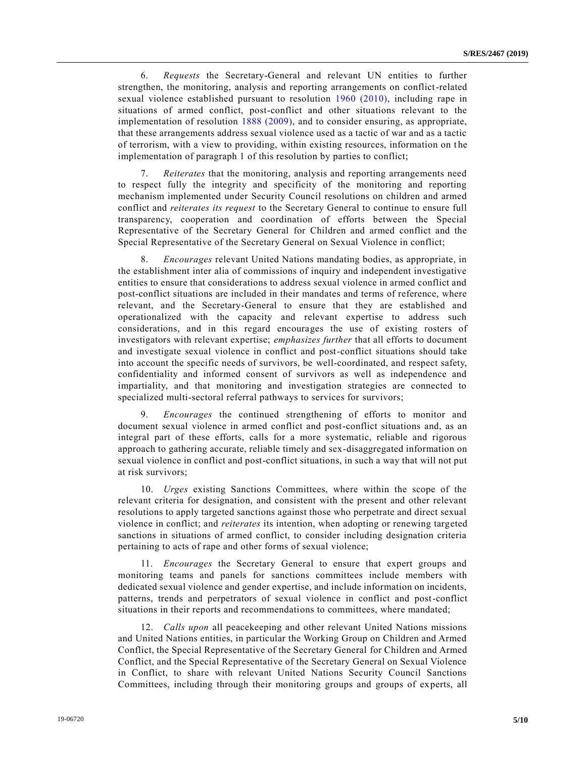6. *Requests* the Secretary-General and relevant UN entities to further strengthen, the monitoring, analysis and reporting arrangements on conflict-related sexual violence established pursuant to resolution [1960 \(2010\),](https://undocs.org/en/S/RES/1960%20(2010)) including rape in situations of armed conflict, post-conflict and other situations relevant to the implementation of resolution [1888 \(2009\),](https://undocs.org/en/S/RES/1888%20(2009)) and to consider ensuring, as appropriate, that these arrangements address sexual violence used as a tactic of war and as a tactic of terrorism, with a view to providing, within existing resources, information on t he implementation of paragraph 1 of this resolution by parties to conflict;

7. *Reiterates* that the monitoring, analysis and reporting arrangements need to respect fully the integrity and specificity of the monitoring and reporting mechanism implemented under Security Council resolutions on children and armed conflict and *reiterates its request* to the Secretary General to continue to ensure full transparency, cooperation and coordination of efforts between the Special Representative of the Secretary General for Children and armed conflict and the Special Representative of the Secretary General on Sexual Violence in conflict;

8. *Encourages* relevant United Nations mandating bodies, as appropriate, in the establishment inter alia of commissions of inquiry and independent investigative entities to ensure that considerations to address sexual violence in armed conflict and post-conflict situations are included in their mandates and terms of reference, where relevant, and the Secretary-General to ensure that they are established and operationalized with the capacity and relevant expertise to address such considerations, and in this regard encourages the use of existing rosters of investigators with relevant expertise; *emphasizes further* that all efforts to document and investigate sexual violence in conflict and post-conflict situations should take into account the specific needs of survivors, be well-coordinated, and respect safety, confidentiality and informed consent of survivors as well as independence and impartiality, and that monitoring and investigation strategies are connected to specialized multi-sectoral referral pathways to services for survivors;

9. *Encourages* the continued strengthening of efforts to monitor and document sexual violence in armed conflict and post-conflict situations and, as an integral part of these efforts, calls for a more systematic, reliable and rigorous approach to gathering accurate, reliable timely and sex-disaggregated information on sexual violence in conflict and post-conflict situations, in such a way that will not put at risk survivors;

10. *Urges* existing Sanctions Committees, where within the scope of the relevant criteria for designation, and consistent with the present and other relevant resolutions to apply targeted sanctions against those who perpetrate and direct sexual violence in conflict; and *reiterates* its intention, when adopting or renewing targeted sanctions in situations of armed conflict, to consider including designation criteria pertaining to acts of rape and other forms of sexual violence;

11. *Encourages* the Secretary General to ensure that expert groups and monitoring teams and panels for sanctions committees include members with dedicated sexual violence and gender expertise, and include information on incidents, patterns, trends and perpetrators of sexual violence in conflict and post-conflict situations in their reports and recommendations to committees, where mandated;

12. *Calls upon* all peacekeeping and other relevant United Nations missions and United Nations entities, in particular the Working Group on Children and Armed Conflict, the Special Representative of the Secretary General for Children and Armed Conflict, and the Special Representative of the Secretary General on Sexual Violence in Conflict, to share with relevant United Nations Security Council Sanctions Committees, including through their monitoring groups and groups of experts, all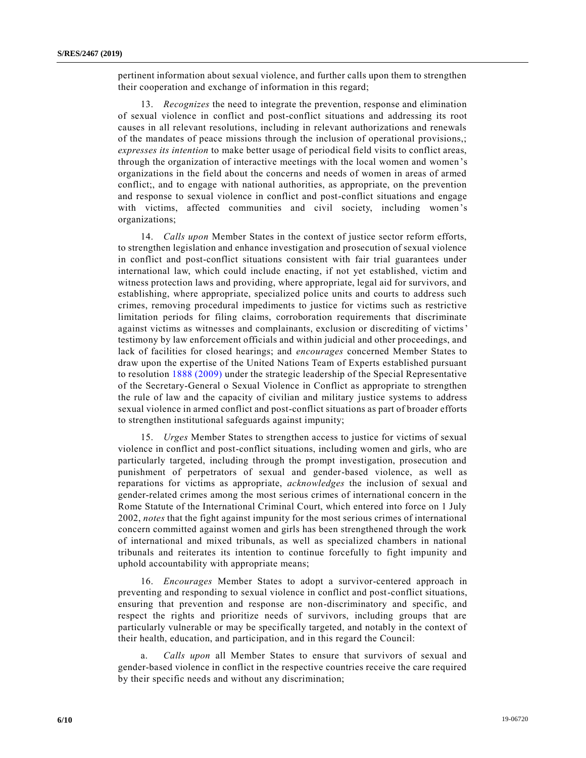pertinent information about sexual violence, and further calls upon them to strengthen their cooperation and exchange of information in this regard;

13. *Recognizes* the need to integrate the prevention, response and elimination of sexual violence in conflict and post-conflict situations and addressing its root causes in all relevant resolutions, including in relevant authorizations and renewals of the mandates of peace missions through the inclusion of operational provisions,; *expresses its intention* to make better usage of periodical field visits to conflict areas, through the organization of interactive meetings with the local women and women 's organizations in the field about the concerns and needs of women in areas of armed conflict;, and to engage with national authorities, as appropriate, on the prevention and response to sexual violence in conflict and post-conflict situations and engage with victims, affected communities and civil society, including women's organizations;

14. *Calls upon* Member States in the context of justice sector reform efforts, to strengthen legislation and enhance investigation and prosecution of sexual violence in conflict and post-conflict situations consistent with fair trial guarantees under international law, which could include enacting, if not yet established, victim and witness protection laws and providing, where appropriate, legal aid for survivors, and establishing, where appropriate, specialized police units and courts to address such crimes, removing procedural impediments to justice for victims such as restrictive limitation periods for filing claims, corroboration requirements that discriminate against victims as witnesses and complainants, exclusion or discrediting of victims' testimony by law enforcement officials and within judicial and other proceedings, and lack of facilities for closed hearings; and *encourages* concerned Member States to draw upon the expertise of the United Nations Team of Experts established pursuant to resolution [1888 \(2009\)](https://undocs.org/en/S/RES/1888%20(2009)) under the strategic leadership of the Special Representative of the Secretary-General o Sexual Violence in Conflict as appropriate to strengthen the rule of law and the capacity of civilian and military justice systems to address sexual violence in armed conflict and post-conflict situations as part of broader efforts to strengthen institutional safeguards against impunity;

15. *Urges* Member States to strengthen access to justice for victims of sexual violence in conflict and post-conflict situations, including women and girls, who are particularly targeted, including through the prompt investigation, prosecution and punishment of perpetrators of sexual and gender-based violence, as well as reparations for victims as appropriate, *acknowledges* the inclusion of sexual and gender-related crimes among the most serious crimes of international concern in the Rome Statute of the International Criminal Court, which entered into force on 1 July 2002, *notes* that the fight against impunity for the most serious crimes of international concern committed against women and girls has been strengthened through the work of international and mixed tribunals, as well as specialized chambers in national tribunals and reiterates its intention to continue forcefully to fight impunity and uphold accountability with appropriate means;

16. *Encourages* Member States to adopt a survivor-centered approach in preventing and responding to sexual violence in conflict and post-conflict situations, ensuring that prevention and response are non-discriminatory and specific, and respect the rights and prioritize needs of survivors, including groups that are particularly vulnerable or may be specifically targeted, and notably in the context of their health, education, and participation, and in this regard the Council:

a. *Calls upon* all Member States to ensure that survivors of sexual and gender-based violence in conflict in the respective countries receive the care required by their specific needs and without any discrimination;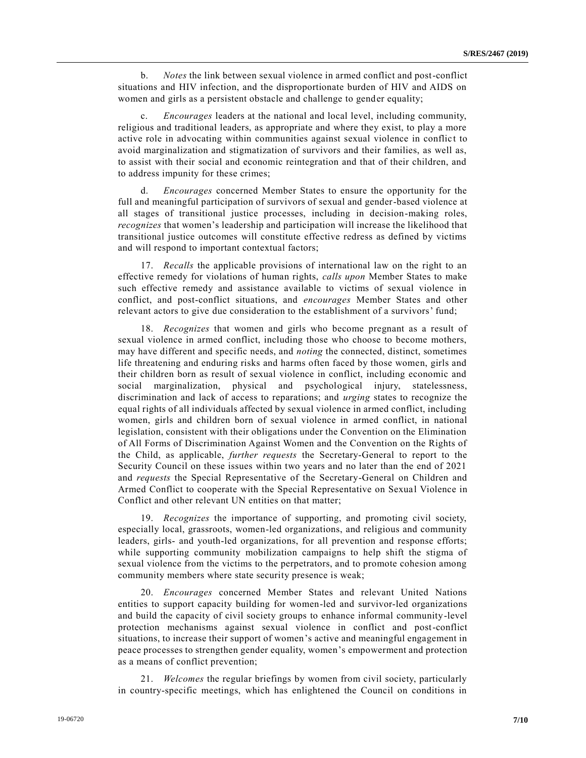b. *Notes* the link between sexual violence in armed conflict and post-conflict situations and HIV infection, and the disproportionate burden of HIV and AIDS on women and girls as a persistent obstacle and challenge to gender equality;

c. *Encourages* leaders at the national and local level, including community, religious and traditional leaders, as appropriate and where they exist, to play a more active role in advocating within communities against sexual violence in conflict to avoid marginalization and stigmatization of survivors and their families, as well as, to assist with their social and economic reintegration and that of their children, and to address impunity for these crimes;

d. *Encourages* concerned Member States to ensure the opportunity for the full and meaningful participation of survivors of sexual and gender-based violence at all stages of transitional justice processes, including in decision-making roles, *recognizes* that women's leadership and participation will increase the likelihood that transitional justice outcomes will constitute effective redress as defined by victims and will respond to important contextual factors;

17. *Recalls* the applicable provisions of international law on the right to an effective remedy for violations of human rights, *calls upon* Member States to make such effective remedy and assistance available to victims of sexual violence in conflict, and post-conflict situations, and *encourages* Member States and other relevant actors to give due consideration to the establishment of a survivors' fund;

18. *Recognizes* that women and girls who become pregnant as a result of sexual violence in armed conflict, including those who choose to become mothers, may have different and specific needs, and *noting* the connected, distinct, sometimes life threatening and enduring risks and harms often faced by those women, girls and their children born as result of sexual violence in conflict, including economic and social marginalization, physical and psychological injury, statelessness, discrimination and lack of access to reparations; and *urging* states to recognize the equal rights of all individuals affected by sexual violence in armed conflict, including women, girls and children born of sexual violence in armed conflict, in national legislation, consistent with their obligations under the Convention on the Elimination of All Forms of Discrimination Against Women and the Convention on the Rights of the Child, as applicable, *further requests* the Secretary-General to report to the Security Council on these issues within two years and no later than the end of 2021 and *requests* the Special Representative of the Secretary-General on Children and Armed Conflict to cooperate with the Special Representative on Sexual Violence in Conflict and other relevant UN entities on that matter;

19. *Recognizes* the importance of supporting, and promoting civil society, especially local, grassroots, women-led organizations, and religious and community leaders, girls- and youth-led organizations, for all prevention and response efforts; while supporting community mobilization campaigns to help shift the stigma of sexual violence from the victims to the perpetrators, and to promote cohesion among community members where state security presence is weak;

20. *Encourages* concerned Member States and relevant United Nations entities to support capacity building for women-led and survivor-led organizations and build the capacity of civil society groups to enhance informal community-level protection mechanisms against sexual violence in conflict and post-conflict situations, to increase their support of women's active and meaningful engagement in peace processes to strengthen gender equality, women's empowerment and protection as a means of conflict prevention;

21. *Welcomes* the regular briefings by women from civil society, particularly in country-specific meetings, which has enlightened the Council on conditions in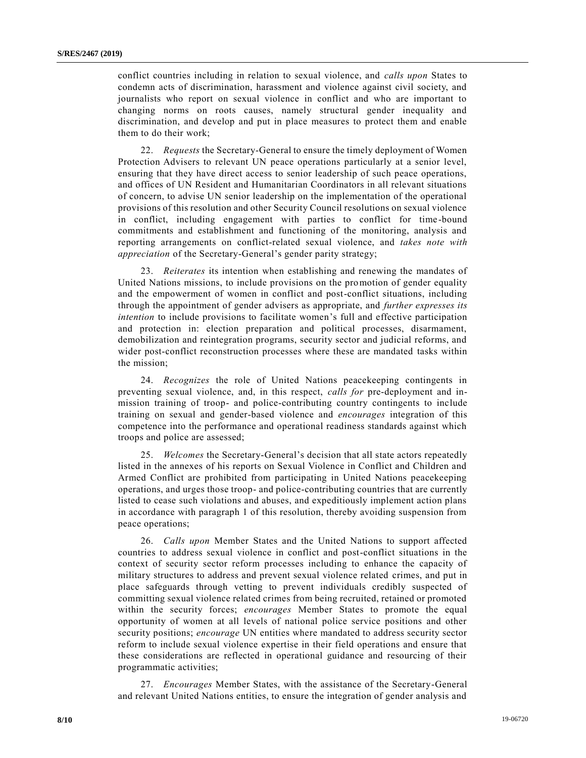conflict countries including in relation to sexual violence, and *calls upon* States to condemn acts of discrimination, harassment and violence against civil society, and journalists who report on sexual violence in conflict and who are important to changing norms on roots causes, namely structural gender inequality and discrimination, and develop and put in place measures to protect them and enable them to do their work;

22. *Requests* the Secretary-General to ensure the timely deployment of Women Protection Advisers to relevant UN peace operations particularly at a senior level, ensuring that they have direct access to senior leadership of such peace operations, and offices of UN Resident and Humanitarian Coordinators in all relevant situations of concern, to advise UN senior leadership on the implementation of the operational provisions of this resolution and other Security Council resolutions on sexual violence in conflict, including engagement with parties to conflict for time -bound commitments and establishment and functioning of the monitoring, analysis and reporting arrangements on conflict-related sexual violence, and *takes note with appreciation* of the Secretary-General's gender parity strategy;

23. *Reiterates* its intention when establishing and renewing the mandates of United Nations missions, to include provisions on the promotion of gender equality and the empowerment of women in conflict and post-conflict situations, including through the appointment of gender advisers as appropriate, and *further expresses its intention* to include provisions to facilitate women's full and effective participation and protection in: election preparation and political processes, disarmament, demobilization and reintegration programs, security sector and judicial reforms, and wider post-conflict reconstruction processes where these are mandated tasks within the mission;

24. *Recognizes* the role of United Nations peacekeeping contingents in preventing sexual violence, and, in this respect, *calls for* pre-deployment and inmission training of troop- and police-contributing country contingents to include training on sexual and gender-based violence and *encourages* integration of this competence into the performance and operational readiness standards against which troops and police are assessed;

25. *Welcomes* the Secretary-General's decision that all state actors repeatedly listed in the annexes of his reports on Sexual Violence in Conflict and Children and Armed Conflict are prohibited from participating in United Nations peacekeeping operations, and urges those troop- and police-contributing countries that are currently listed to cease such violations and abuses, and expeditiously implement action plans in accordance with paragraph 1 of this resolution, thereby avoiding suspension from peace operations;

26. *Calls upon* Member States and the United Nations to support affected countries to address sexual violence in conflict and post-conflict situations in the context of security sector reform processes including to enhance the capacity of military structures to address and prevent sexual violence related crimes, and put in place safeguards through vetting to prevent individuals credibly suspected of committing sexual violence related crimes from being recruited, retained or promoted within the security forces; *encourages* Member States to promote the equal opportunity of women at all levels of national police service positions and other security positions; *encourage* UN entities where mandated to address security sector reform to include sexual violence expertise in their field operations and ensure that these considerations are reflected in operational guidance and resourcing of their programmatic activities;

27. *Encourages* Member States, with the assistance of the Secretary-General and relevant United Nations entities, to ensure the integration of gender analysis and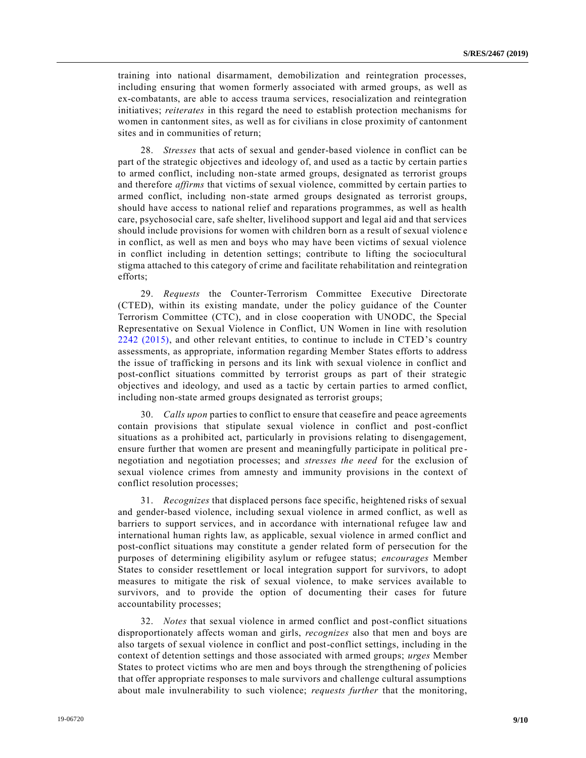training into national disarmament, demobilization and reintegration processes, including ensuring that women formerly associated with armed groups, as well as ex-combatants, are able to access trauma services, resocialization and reintegration initiatives; *reiterates* in this regard the need to establish protection mechanisms for women in cantonment sites, as well as for civilians in close proximity of cantonment sites and in communities of return;

28. *Stresses* that acts of sexual and gender-based violence in conflict can be part of the strategic objectives and ideology of, and used as a tactic by certain partie s to armed conflict, including non-state armed groups, designated as terrorist groups and therefore *affirms* that victims of sexual violence, committed by certain parties to armed conflict, including non-state armed groups designated as terrorist groups, should have access to national relief and reparations programmes, as well as health care, psychosocial care, safe shelter, livelihood support and legal aid and that services should include provisions for women with children born as a result of sexual violenc e in conflict, as well as men and boys who may have been victims of sexual violence in conflict including in detention settings; contribute to lifting the sociocultural stigma attached to this category of crime and facilitate rehabilitation and reintegration efforts;

29. *Requests* the Counter-Terrorism Committee Executive Directorate (CTED), within its existing mandate, under the policy guidance of the Counter Terrorism Committee (CTC), and in close cooperation with UNODC, the Special Representative on Sexual Violence in Conflict, UN Women in line with resolution [2242 \(2015\),](https://undocs.org/en/S/RES/2242%20(2015)) and other relevant entities, to continue to include in CTED's country assessments, as appropriate, information regarding Member States efforts to address the issue of trafficking in persons and its link with sexual violence in conflict and post-conflict situations committed by terrorist groups as part of their strategic objectives and ideology, and used as a tactic by certain parties to armed conflict, including non-state armed groups designated as terrorist groups;

30. *Calls upon* parties to conflict to ensure that ceasefire and peace agreements contain provisions that stipulate sexual violence in conflict and post-conflict situations as a prohibited act, particularly in provisions relating to disengagement, ensure further that women are present and meaningfully participate in political pre negotiation and negotiation processes; and *stresses the need* for the exclusion of sexual violence crimes from amnesty and immunity provisions in the context of conflict resolution processes;

31. *Recognizes* that displaced persons face specific, heightened risks of sexual and gender-based violence, including sexual violence in armed conflict, as well as barriers to support services, and in accordance with international refugee law and international human rights law, as applicable, sexual violence in armed conflict and post-conflict situations may constitute a gender related form of persecution for the purposes of determining eligibility asylum or refugee status; *encourages* Member States to consider resettlement or local integration support for survivors, to adopt measures to mitigate the risk of sexual violence, to make services available to survivors, and to provide the option of documenting their cases for future accountability processes;

32. *Notes* that sexual violence in armed conflict and post-conflict situations disproportionately affects woman and girls, *recognizes* also that men and boys are also targets of sexual violence in conflict and post-conflict settings, including in the context of detention settings and those associated with armed groups; *urges* Member States to protect victims who are men and boys through the strengthening of policies that offer appropriate responses to male survivors and challenge cultural assumptions about male invulnerability to such violence; *requests further* that the monitoring,